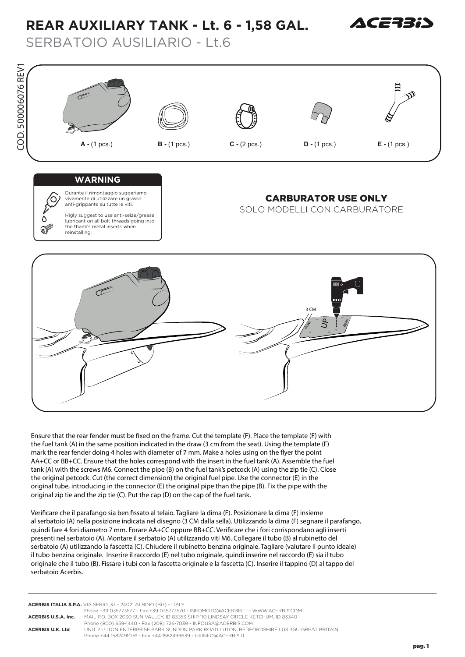## **REAR AUXILIARY TANK - Lt. 6 - 1,58 GAL.**



SERBATOIO AUSILIARIO - Lt.6



Ensure that the rear fender must be fixed on the frame. Cut the template (F). Place the template (F) with **the fuel tank (A) in the same position indicated in the draw (3 cm from the seat). Using the template (F)** mark the rear fender doing 4 holes with diameter of 7 mm. Make a holes using on the flyer the point **AA+CC or BB+CC. Ensure that the holes correspond with the insert in the fuel tank (A). Assemble the fuel tank (A) with the screws M6. Connect the pipe (B) on the fuel tank's petcock (A) using the zip tie (C). Close the original petcock. Cut (the correct dimension) the original fuel pipe. Use the connector (E) in the original tube, introducing in the connector (E) the original pipe than the pipe (B). Fix the pipe with the original zip tie and the zip tie (C). Put the cap (D) on the cap of the fuel tank.**

Verificare che il parafango sia ben fissato al telaio. Tagliare la dima (F). Posizionare la dima (F) insieme al serbatoio (A) nella posizione indicata nel disegno (3 CM dalla sella). Utilizzando la dima (F) segnare il parafango, quindi fare 4 fori diametro 7 mm. Forare AA+CC oppure BB+CC. Verificare che i fori corrispondano agli inserti presenti nel serbatoio (A). Montare il serbatoio (A) utilizzando viti M6. Collegare il tubo (B) al rubinetto del serbatoio (A) utilizzando la fascetta (C). Chiudere il rubinetto benzina originale. Tagliare (valutare il punto ideale) il tubo benzina originale. Inserire il raccordo (E) nel tubo originale, quindi inserire nel raccordo (E) sia il tubo originale che il tubo (B). Fissare i tubi con la fascetta originale e la fascetta (C). Inserire il tappino (D) al tappo del serbatoio Acerbis.

**ACERBIS ITALIA S.P.A.** VIA SERIO, 37 - 24021 ALBINO (BG) - ITALY Phone +39 035773577 - Fax +39 035773570 - INFOMOTO@ACERBIS.IT - WWW.ACERBIS.COM **ACERBIS U.S.A. Inc.** MAIL P.O. BOX 2030 SUN VALLEY, ID 83353 SHIP 110 LINDSAY CIRCLE KETCHUM, ID 83340 Phone (800) 659-1440 - Fax (208) 726-7039 - INFOUSA@ACERBIS.COM **ACERBIS U.K. Ltd** UNIT 2 LUTON ENTERPRISE PARK SUNDON PARK ROAD LUTON, BEDFORDSHIRE LU3 3GU GREAT BRITAIN Phone +44 1582491076 - Fax +44 1582499639 - UKINFO@ACERBIS.IT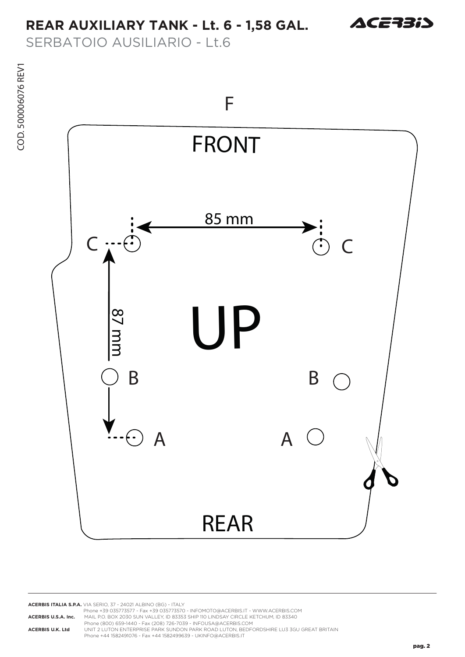## **REAR AUXILIARY TANK - Lt. 6 - 1,58 GAL.**



SERBATOIO AUSILIARIO - Lt.6